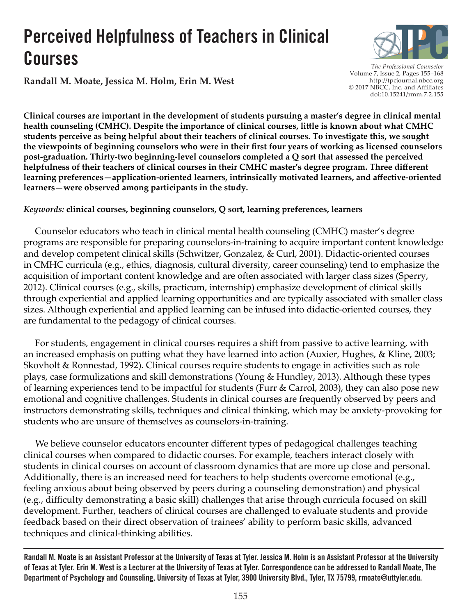# **Perceived Helpfulness of Teachers in Clinical Courses**

**Randall M. Moate, Jessica M. Holm, Erin M. West**

*The Professional Counselor*  Volume 7, Issue 2, Pages 155–168 http://tpcjournal.nbcc.org © 2017 NBCC, Inc. and Affiliates doi:10.15241/rmm.7.2.155

**Clinical courses are important in the development of students pursuing a master's degree in clinical mental health counseling (CMHC). Despite the importance of clinical courses, little is known about what CMHC students perceive as being helpful about their teachers of clinical courses. To investigate this, we sought the viewpoints of beginning counselors who were in their first four years of working as licensed counselors post-graduation. Thirty-two beginning-level counselors completed a Q sort that assessed the perceived helpfulness of their teachers of clinical courses in their CMHC master's degree program. Three different learning preferences—application-oriented learners, intrinsically motivated learners, and affective-oriented learners—were observed among participants in the study.** 

## *Keywords:* **clinical courses, beginning counselors, Q sort, learning preferences, learners**

 Counselor educators who teach in clinical mental health counseling (CMHC) master's degree programs are responsible for preparing counselors-in-training to acquire important content knowledge and develop competent clinical skills (Schwitzer, Gonzalez, & Curl, 2001). Didactic-oriented courses in CMHC curricula (e.g., ethics, diagnosis, cultural diversity, career counseling) tend to emphasize the acquisition of important content knowledge and are often associated with larger class sizes (Sperry, 2012). Clinical courses (e.g., skills, practicum, internship) emphasize development of clinical skills through experiential and applied learning opportunities and are typically associated with smaller class sizes. Although experiential and applied learning can be infused into didactic-oriented courses, they are fundamental to the pedagogy of clinical courses.

 For students, engagement in clinical courses requires a shift from passive to active learning, with an increased emphasis on putting what they have learned into action (Auxier, Hughes, & Kline, 2003; Skovholt & Ronnestad, 1992). Clinical courses require students to engage in activities such as role plays, case formulizations and skill demonstrations (Young & Hundley, 2013). Although these types of learning experiences tend to be impactful for students (Furr & Carrol, 2003), they can also pose new emotional and cognitive challenges. Students in clinical courses are frequently observed by peers and instructors demonstrating skills, techniques and clinical thinking, which may be anxiety-provoking for students who are unsure of themselves as counselors-in-training.

 We believe counselor educators encounter different types of pedagogical challenges teaching clinical courses when compared to didactic courses. For example, teachers interact closely with students in clinical courses on account of classroom dynamics that are more up close and personal. Additionally, there is an increased need for teachers to help students overcome emotional (e.g., feeling anxious about being observed by peers during a counseling demonstration) and physical (e.g., difficulty demonstrating a basic skill) challenges that arise through curricula focused on skill development. Further, teachers of clinical courses are challenged to evaluate students and provide feedback based on their direct observation of trainees' ability to perform basic skills, advanced techniques and clinical-thinking abilities.

**Randall M. Moate is an Assistant Professor at the University of Texas at Tyler. Jessica M. Holm is an Assistant Professor at the University of Texas at Tyler. Erin M. West is a Lecturer at the University of Texas at Tyler. Correspondence can be addressed to Randall Moate, The Department of Psychology and Counseling, University of Texas at Tyler, 3900 University Blvd., Tyler, TX 75799, [rmoate@uttyler.edu.](mailto:rmoate@uttyler.edu)**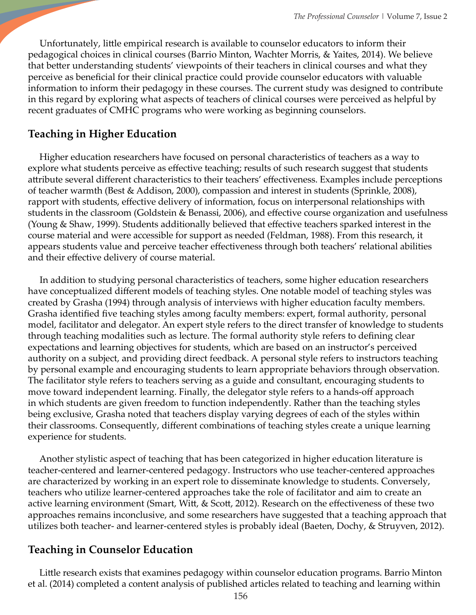Unfortunately, little empirical research is available to counselor educators to inform their pedagogical choices in clinical courses (Barrio Minton, Wachter Morris, & Yaites, 2014). We believe that better understanding students' viewpoints of their teachers in clinical courses and what they perceive as beneficial for their clinical practice could provide counselor educators with valuable information to inform their pedagogy in these courses. The current study was designed to contribute in this regard by exploring what aspects of teachers of clinical courses were perceived as helpful by recent graduates of CMHC programs who were working as beginning counselors.

## **Teaching in Higher Education**

 Higher education researchers have focused on personal characteristics of teachers as a way to explore what students perceive as effective teaching; results of such research suggest that students attribute several different characteristics to their teachers' effectiveness. Examples include perceptions of teacher warmth (Best & Addison, 2000), compassion and interest in students (Sprinkle, 2008), rapport with students, effective delivery of information, focus on interpersonal relationships with students in the classroom (Goldstein & Benassi, 2006), and effective course organization and usefulness (Young & Shaw, 1999). Students additionally believed that effective teachers sparked interest in the course material and were accessible for support as needed (Feldman, 1988). From this research, it appears students value and perceive teacher effectiveness through both teachers' relational abilities and their effective delivery of course material.

 In addition to studying personal characteristics of teachers, some higher education researchers have conceptualized different models of teaching styles. One notable model of teaching styles was created by Grasha (1994) through analysis of interviews with higher education faculty members. Grasha identified five teaching styles among faculty members: expert, formal authority, personal model, facilitator and delegator. An expert style refers to the direct transfer of knowledge to students through teaching modalities such as lecture. The formal authority style refers to defining clear expectations and learning objectives for students, which are based on an instructor's perceived authority on a subject, and providing direct feedback. A personal style refers to instructors teaching by personal example and encouraging students to learn appropriate behaviors through observation. The facilitator style refers to teachers serving as a guide and consultant, encouraging students to move toward independent learning. Finally, the delegator style refers to a hands-off approach in which students are given freedom to function independently. Rather than the teaching styles being exclusive, Grasha noted that teachers display varying degrees of each of the styles within their classrooms. Consequently, different combinations of teaching styles create a unique learning experience for students.

 Another stylistic aspect of teaching that has been categorized in higher education literature is teacher-centered and learner-centered pedagogy. Instructors who use teacher-centered approaches are characterized by working in an expert role to disseminate knowledge to students. Conversely, teachers who utilize learner-centered approaches take the role of facilitator and aim to create an active learning environment (Smart, Witt, & Scott, 2012). Research on the effectiveness of these two approaches remains inconclusive, and some researchers have suggested that a teaching approach that utilizes both teacher- and learner-centered styles is probably ideal (Baeten, Dochy, & Struyven, 2012).

## **Teaching in Counselor Education**

 Little research exists that examines pedagogy within counselor education programs. Barrio Minton et al. (2014) completed a content analysis of published articles related to teaching and learning within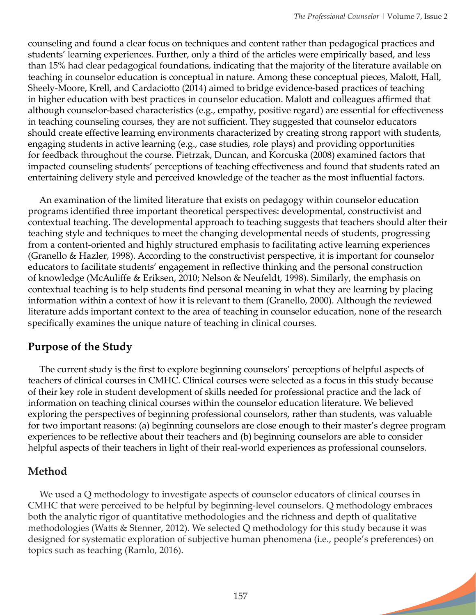$\geq$ 

counseling and found a clear focus on techniques and content rather than pedagogical practices and students' learning experiences. Further, only a third of the articles were empirically based, and less than 15% had clear pedagogical foundations, indicating that the majority of the literature available on teaching in counselor education is conceptual in nature. Among these conceptual pieces, Malott, Hall, Sheely-Moore, Krell, and Cardaciotto (2014) aimed to bridge evidence-based practices of teaching in higher education with best practices in counselor education. Malott and colleagues affirmed that although counselor-based characteristics (e.g., empathy, positive regard) are essential for effectiveness in teaching counseling courses, they are not sufficient. They suggested that counselor educators should create effective learning environments characterized by creating strong rapport with students, engaging students in active learning (e.g., case studies, role plays) and providing opportunities for feedback throughout the course. Pietrzak, Duncan, and Korcuska (2008) examined factors that impacted counseling students' perceptions of teaching effectiveness and found that students rated an entertaining delivery style and perceived knowledge of the teacher as the most influential factors.

 An examination of the limited literature that exists on pedagogy within counselor education programs identified three important theoretical perspectives: developmental, constructivist and contextual teaching. The developmental approach to teaching suggests that teachers should alter their teaching style and techniques to meet the changing developmental needs of students, progressing from a content-oriented and highly structured emphasis to facilitating active learning experiences (Granello & Hazler, 1998). According to the constructivist perspective, it is important for counselor educators to facilitate students' engagement in reflective thinking and the personal construction of knowledge (McAuliffe & Eriksen, 2010; Nelson & Neufeldt, 1998). Similarly, the emphasis on contextual teaching is to help students find personal meaning in what they are learning by placing information within a context of how it is relevant to them (Granello, 2000). Although the reviewed literature adds important context to the area of teaching in counselor education, none of the research specifically examines the unique nature of teaching in clinical courses.

# **Purpose of the Study**

 The current study is the first to explore beginning counselors' perceptions of helpful aspects of teachers of clinical courses in CMHC. Clinical courses were selected as a focus in this study because of their key role in student development of skills needed for professional practice and the lack of information on teaching clinical courses within the counselor education literature. We believed exploring the perspectives of beginning professional counselors, rather than students, was valuable for two important reasons: (a) beginning counselors are close enough to their master's degree program experiences to be reflective about their teachers and (b) beginning counselors are able to consider helpful aspects of their teachers in light of their real-world experiences as professional counselors.

# **Method**

 We used a Q methodology to investigate aspects of counselor educators of clinical courses in CMHC that were perceived to be helpful by beginning-level counselors. Q methodology embraces both the analytic rigor of quantitative methodologies and the richness and depth of qualitative methodologies (Watts & Stenner, 2012). We selected Q methodology for this study because it was designed for systematic exploration of subjective human phenomena (i.e., people's preferences) on topics such as teaching (Ramlo, 2016).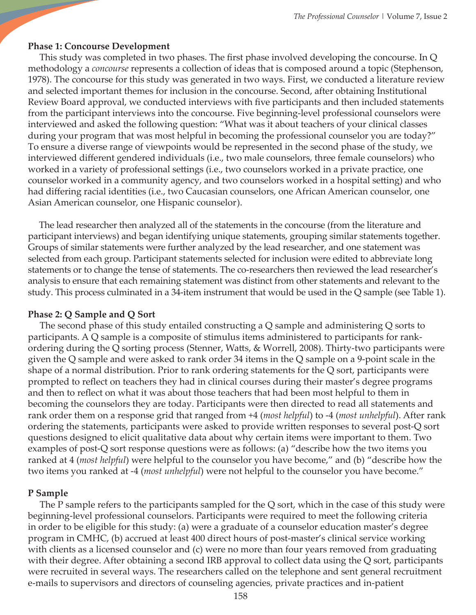#### **Phase 1: Concourse Development**

 This study was completed in two phases. The first phase involved developing the concourse. In Q methodology a *concourse* represents a collection of ideas that is composed around a topic (Stephenson, 1978). The concourse for this study was generated in two ways. First, we conducted a literature review and selected important themes for inclusion in the concourse. Second, after obtaining Institutional Review Board approval, we conducted interviews with five participants and then included statements from the participant interviews into the concourse. Five beginning-level professional counselors were interviewed and asked the following question: "What was it about teachers of your clinical classes during your program that was most helpful in becoming the professional counselor you are today?" To ensure a diverse range of viewpoints would be represented in the second phase of the study, we interviewed different gendered individuals (i.e., two male counselors, three female counselors) who worked in a variety of professional settings (i.e., two counselors worked in a private practice, one counselor worked in a community agency, and two counselors worked in a hospital setting) and who had differing racial identities (i.e., two Caucasian counselors, one African American counselor, one Asian American counselor, one Hispanic counselor).

 The lead researcher then analyzed all of the statements in the concourse (from the literature and participant interviews) and began identifying unique statements, grouping similar statements together. Groups of similar statements were further analyzed by the lead researcher, and one statement was selected from each group. Participant statements selected for inclusion were edited to abbreviate long statements or to change the tense of statements. The co-researchers then reviewed the lead researcher's analysis to ensure that each remaining statement was distinct from other statements and relevant to the study. This process culminated in a 34-item instrument that would be used in the Q sample (see Table 1).

#### **Phase 2: Q Sample and Q Sort**

 The second phase of this study entailed constructing a Q sample and administering Q sorts to participants. A Q sample is a composite of stimulus items administered to participants for rankordering during the Q sorting process (Stenner, Watts, & Worrell, 2008). Thirty-two participants were given the Q sample and were asked to rank order 34 items in the Q sample on a 9-point scale in the shape of a normal distribution. Prior to rank ordering statements for the Q sort, participants were prompted to reflect on teachers they had in clinical courses during their master's degree programs and then to reflect on what it was about those teachers that had been most helpful to them in becoming the counselors they are today. Participants were then directed to read all statements and rank order them on a response grid that ranged from +4 (*most helpful*) to -4 (*most unhelpful*). After rank ordering the statements, participants were asked to provide written responses to several post-Q sort questions designed to elicit qualitative data about why certain items were important to them. Two examples of post-Q sort response questions were as follows: (a) "describe how the two items you ranked at 4 (*most helpful*) were helpful to the counselor you have become," and (b) "describe how the two items you ranked at -4 (*most unhelpful*) were not helpful to the counselor you have become."

#### **P Sample**

 The P sample refers to the participants sampled for the Q sort, which in the case of this study were beginning-level professional counselors. Participants were required to meet the following criteria in order to be eligible for this study: (a) were a graduate of a counselor education master's degree program in CMHC, (b) accrued at least 400 direct hours of post-master's clinical service working with clients as a licensed counselor and (c) were no more than four years removed from graduating with their degree. After obtaining a second IRB approval to collect data using the Q sort, participants were recruited in several ways. The researchers called on the telephone and sent general recruitment e-mails to supervisors and directors of counseling agencies, private practices and in-patient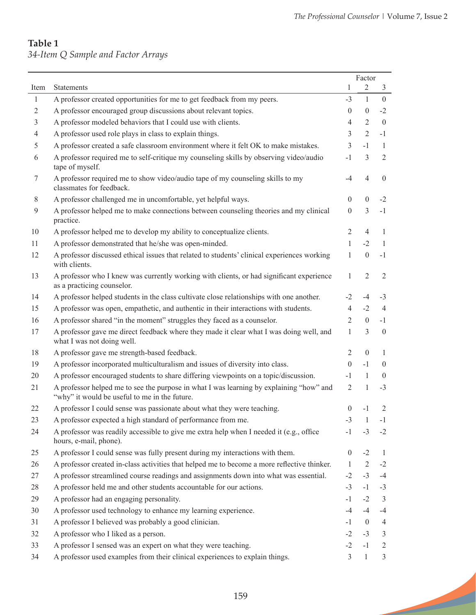<u>a shekara ta 1999 </u>

## **Table 1** *34-Item Q Sample and Factor Arrays*

|                |                                                                                                                                          | Factor           |                |                |
|----------------|------------------------------------------------------------------------------------------------------------------------------------------|------------------|----------------|----------------|
| Item           | <b>Statements</b>                                                                                                                        | 1                | $\overline{2}$ | 3              |
| 1              | A professor created opportunities for me to get feedback from my peers.                                                                  | $-3$             | $\mathbf{1}$   | $\overline{0}$ |
| $\overline{2}$ | A professor encouraged group discussions about relevant topics.                                                                          | $\theta$         | $\mathbf{0}$   | $-2$           |
| 3              | A professor modeled behaviors that I could use with clients.                                                                             | 4                | $\overline{2}$ | $\mathbf{0}$   |
| 4              | A professor used role plays in class to explain things.                                                                                  | 3                | 2              | $-1$           |
| 5              | A professor created a safe classroom environment where it felt OK to make mistakes.                                                      | 3                | $-1$           | $\mathbf{1}$   |
| 6              | A professor required me to self-critique my counseling skills by observing video/audio<br>tape of myself.                                | $-1$             | 3              | $\overline{2}$ |
| 7              | A professor required me to show video/audio tape of my counseling skills to my<br>classmates for feedback.                               | $-4$             | $\overline{4}$ | $\mathbf{0}$   |
| 8              | A professor challenged me in uncomfortable, yet helpful ways.                                                                            | $\boldsymbol{0}$ | $\overline{0}$ | $-2$           |
| 9              | A professor helped me to make connections between counseling theories and my clinical<br>practice.                                       | $\boldsymbol{0}$ | $\overline{3}$ | $-1$           |
| 10             | A professor helped me to develop my ability to conceptualize clients.                                                                    | $\overline{2}$   | 4              | 1              |
| 11             | A professor demonstrated that he/she was open-minded.                                                                                    | 1                | $-2$           | $\mathbf{1}$   |
| 12             | A professor discussed ethical issues that related to students' clinical experiences working<br>with clients.                             | 1                | $\overline{0}$ | $-1$           |
| 13             | A professor who I knew was currently working with clients, or had significant experience<br>as a practicing counselor.                   | 1                | $\overline{2}$ | 2              |
| 14             | A professor helped students in the class cultivate close relationships with one another.                                                 | $-2$             | $-4$           | $-3$           |
| 15             | A professor was open, empathetic, and authentic in their interactions with students.                                                     | $\overline{4}$   | $-2$           | $\overline{4}$ |
| 16             | A professor shared "in the moment" struggles they faced as a counselor.                                                                  | $\mathfrak{2}$   | $\overline{0}$ | $-1$           |
| 17             | A professor gave me direct feedback where they made it clear what I was doing well, and<br>what I was not doing well.                    | 1                | 3              | $\mathbf{0}$   |
| 18             | A professor gave me strength-based feedback.                                                                                             | $\overline{2}$   | $\mathbf{0}$   | $\mathbf{1}$   |
| 19             | A professor incorporated multiculturalism and issues of diversity into class.                                                            | $\theta$         | $-1$           | $\overline{0}$ |
| 20             | A professor encouraged students to share differing viewpoints on a topic/discussion.                                                     | $-1$             | 1              | $\mathbf{0}$   |
| 21             | A professor helped me to see the purpose in what I was learning by explaining "how" and<br>"why" it would be useful to me in the future. | $\overline{2}$   | $\mathbf{1}$   | $-3$           |
| 22             | A professor I could sense was passionate about what they were teaching.                                                                  | $\theta$         | -1             | 2              |
| 23             | A professor expected a high standard of performance from me.                                                                             | $-3$             | -1             | $-1$           |
| 24             | A professor was readily accessible to give me extra help when I needed it (e.g., office<br>hours, e-mail, phone).                        | $-1$             | $-3$           | $-2$           |
| 25             | A professor I could sense was fully present during my interactions with them.                                                            | $\boldsymbol{0}$ | $-2$           | 1              |
| 26             | A professor created in-class activities that helped me to become a more reflective thinker.                                              | $\mathbf{1}$     | 2              | $-2$           |
| 27             | A professor streamlined course readings and assignments down into what was essential.                                                    | $-2$             | $-3$           | $-4$           |
| 28             | A professor held me and other students accountable for our actions.                                                                      | $-3$             | $-1$           | $-3$           |
| 29             | A professor had an engaging personality.                                                                                                 | $-1$             | $-2$           | $\mathfrak{Z}$ |
| 30             | A professor used technology to enhance my learning experience.                                                                           | $-4$             | $-4$           | $-4$           |
| 31             | A professor I believed was probably a good clinician.                                                                                    | $-1$             | $\overline{0}$ | $\overline{4}$ |
| 32             | A professor who I liked as a person.                                                                                                     | $-2$             | $-3$           | 3              |
| 33             | A professor I sensed was an expert on what they were teaching.                                                                           | $-2$             | $-1$           | 2              |
| 34             | A professor used examples from their clinical experiences to explain things.                                                             | 3                | 1              | $\mathfrak{Z}$ |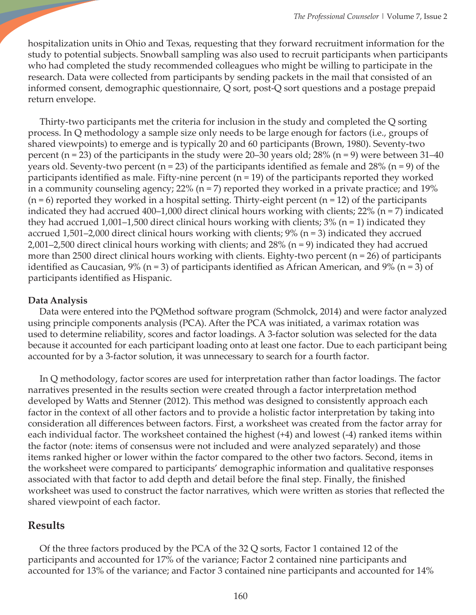hospitalization units in Ohio and Texas, requesting that they forward recruitment information for the study to potential subjects. Snowball sampling was also used to recruit participants when participants who had completed the study recommended colleagues who might be willing to participate in the research. Data were collected from participants by sending packets in the mail that consisted of an informed consent, demographic questionnaire, Q sort, post-Q sort questions and a postage prepaid return envelope.

 Thirty-two participants met the criteria for inclusion in the study and completed the Q sorting process. In Q methodology a sample size only needs to be large enough for factors (i.e., groups of shared viewpoints) to emerge and is typically 20 and 60 participants (Brown, 1980). Seventy-two percent (n = 23) of the participants in the study were 20–30 years old;  $28\%$  (n = 9) were between 31–40 years old. Seventy-two percent ( $n = 23$ ) of the participants identified as female and 28% ( $n = 9$ ) of the participants identified as male. Fifty-nine percent ( $n = 19$ ) of the participants reported they worked in a community counseling agency;  $22\%$  (n = 7) reported they worked in a private practice; and 19%  $(n = 6)$  reported they worked in a hospital setting. Thirty-eight percent  $(n = 12)$  of the participants indicated they had accrued 400–1,000 direct clinical hours working with clients; 22% (n = 7) indicated they had accrued 1,001–1,500 direct clinical hours working with clients;  $3\%$  (n = 1) indicated they accrued 1,501–2,000 direct clinical hours working with clients; 9% (n = 3) indicated they accrued 2,001–2,500 direct clinical hours working with clients; and  $28\%$  (n = 9) indicated they had accrued more than 2500 direct clinical hours working with clients. Eighty-two percent (n = 26) of participants identified as Caucasian, 9% (n = 3) of participants identified as African American, and 9% (n = 3) of participants identified as Hispanic.

## **Data Analysis**

 Data were entered into the PQMethod software program (Schmolck, 2014) and were factor analyzed using principle components analysis (PCA). After the PCA was initiated, a varimax rotation was used to determine reliability, scores and factor loadings. A 3-factor solution was selected for the data because it accounted for each participant loading onto at least one factor. Due to each participant being accounted for by a 3-factor solution, it was unnecessary to search for a fourth factor.

 In Q methodology, factor scores are used for interpretation rather than factor loadings. The factor narratives presented in the results section were created through a factor interpretation method developed by Watts and Stenner (2012). This method was designed to consistently approach each factor in the context of all other factors and to provide a holistic factor interpretation by taking into consideration all differences between factors. First, a worksheet was created from the factor array for each individual factor. The worksheet contained the highest (+4) and lowest (-4) ranked items within the factor (note: items of consensus were not included and were analyzed separately) and those items ranked higher or lower within the factor compared to the other two factors. Second, items in the worksheet were compared to participants' demographic information and qualitative responses associated with that factor to add depth and detail before the final step. Finally, the finished worksheet was used to construct the factor narratives, which were written as stories that reflected the shared viewpoint of each factor.

## **Results**

 Of the three factors produced by the PCA of the 32 Q sorts, Factor 1 contained 12 of the participants and accounted for 17% of the variance; Factor 2 contained nine participants and accounted for 13% of the variance; and Factor 3 contained nine participants and accounted for 14%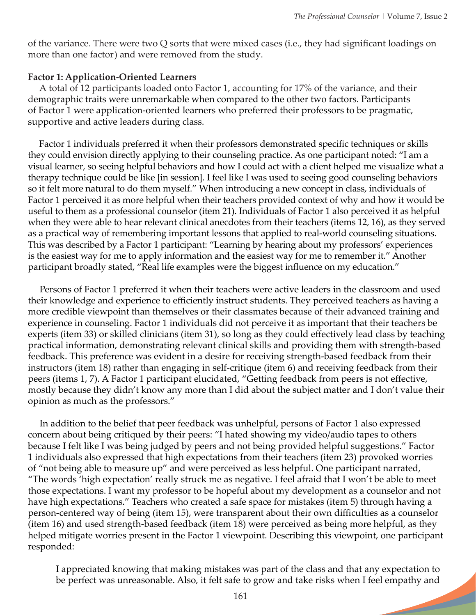of the variance. There were two Q sorts that were mixed cases (i.e., they had significant loadings on more than one factor) and were removed from the study.

## **Factor 1: Application-Oriented Learners**

 A total of 12 participants loaded onto Factor 1, accounting for 17% of the variance, and their demographic traits were unremarkable when compared to the other two factors. Participants of Factor 1 were application-oriented learners who preferred their professors to be pragmatic, supportive and active leaders during class.

 Factor 1 individuals preferred it when their professors demonstrated specific techniques or skills they could envision directly applying to their counseling practice. As one participant noted: "I am a visual learner, so seeing helpful behaviors and how I could act with a client helped me visualize what a therapy technique could be like [in session]. I feel like I was used to seeing good counseling behaviors so it felt more natural to do them myself." When introducing a new concept in class, individuals of Factor 1 perceived it as more helpful when their teachers provided context of why and how it would be useful to them as a professional counselor (item 21). Individuals of Factor 1 also perceived it as helpful when they were able to hear relevant clinical anecdotes from their teachers (items 12, 16), as they served as a practical way of remembering important lessons that applied to real-world counseling situations. This was described by a Factor 1 participant: "Learning by hearing about my professors' experiences is the easiest way for me to apply information and the easiest way for me to remember it." Another participant broadly stated, "Real life examples were the biggest influence on my education."

 Persons of Factor 1 preferred it when their teachers were active leaders in the classroom and used their knowledge and experience to efficiently instruct students. They perceived teachers as having a more credible viewpoint than themselves or their classmates because of their advanced training and experience in counseling. Factor 1 individuals did not perceive it as important that their teachers be experts (item 33) or skilled clinicians (item 31), so long as they could effectively lead class by teaching practical information, demonstrating relevant clinical skills and providing them with strength-based feedback. This preference was evident in a desire for receiving strength-based feedback from their instructors (item 18) rather than engaging in self-critique (item 6) and receiving feedback from their peers (items 1, 7). A Factor 1 participant elucidated, "Getting feedback from peers is not effective, mostly because they didn't know any more than I did about the subject matter and I don't value their opinion as much as the professors."

 In addition to the belief that peer feedback was unhelpful, persons of Factor 1 also expressed concern about being critiqued by their peers: "I hated showing my video/audio tapes to others because I felt like I was being judged by peers and not being provided helpful suggestions." Factor 1 individuals also expressed that high expectations from their teachers (item 23) provoked worries of "not being able to measure up" and were perceived as less helpful. One participant narrated, "The words 'high expectation' really struck me as negative. I feel afraid that I won't be able to meet those expectations. I want my professor to be hopeful about my development as a counselor and not have high expectations." Teachers who created a safe space for mistakes (item 5) through having a person-centered way of being (item 15), were transparent about their own difficulties as a counselor (item 16) and used strength-based feedback (item 18) were perceived as being more helpful, as they helped mitigate worries present in the Factor 1 viewpoint. Describing this viewpoint, one participant responded:

I appreciated knowing that making mistakes was part of the class and that any expectation to be perfect was unreasonable. Also, it felt safe to grow and take risks when I feel empathy and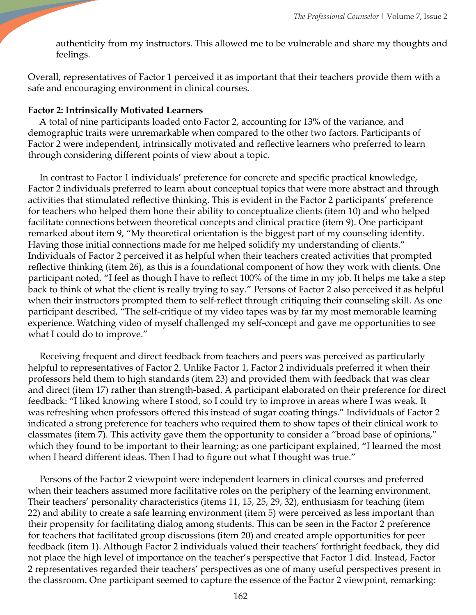authenticity from my instructors. This allowed me to be vulnerable and share my thoughts and feelings.

Overall, representatives of Factor 1 perceived it as important that their teachers provide them with a safe and encouraging environment in clinical courses.

#### **Factor 2: Intrinsically Motivated Learners**

 A total of nine participants loaded onto Factor 2, accounting for 13% of the variance, and demographic traits were unremarkable when compared to the other two factors. Participants of Factor 2 were independent, intrinsically motivated and reflective learners who preferred to learn through considering different points of view about a topic.

 In contrast to Factor 1 individuals' preference for concrete and specific practical knowledge, Factor 2 individuals preferred to learn about conceptual topics that were more abstract and through activities that stimulated reflective thinking. This is evident in the Factor 2 participants' preference for teachers who helped them hone their ability to conceptualize clients (item 10) and who helped facilitate connections between theoretical concepts and clinical practice (item 9). One participant remarked about item 9, "My theoretical orientation is the biggest part of my counseling identity. Having those initial connections made for me helped solidify my understanding of clients." Individuals of Factor 2 perceived it as helpful when their teachers created activities that prompted reflective thinking (item 26), as this is a foundational component of how they work with clients. One participant noted, "I feel as though I have to reflect 100% of the time in my job. It helps me take a step back to think of what the client is really trying to say." Persons of Factor 2 also perceived it as helpful when their instructors prompted them to self-reflect through critiquing their counseling skill. As one participant described, "The self-critique of my video tapes was by far my most memorable learning experience. Watching video of myself challenged my self-concept and gave me opportunities to see what I could do to improve."

 Receiving frequent and direct feedback from teachers and peers was perceived as particularly helpful to representatives of Factor 2. Unlike Factor 1, Factor 2 individuals preferred it when their professors held them to high standards (item 23) and provided them with feedback that was clear and direct (item 17) rather than strength-based. A participant elaborated on their preference for direct feedback: "I liked knowing where I stood, so I could try to improve in areas where I was weak. It was refreshing when professors offered this instead of sugar coating things." Individuals of Factor 2 indicated a strong preference for teachers who required them to show tapes of their clinical work to classmates (item 7). This activity gave them the opportunity to consider a "broad base of opinions," which they found to be important to their learning; as one participant explained, "I learned the most when I heard different ideas. Then I had to figure out what I thought was true."

 Persons of the Factor 2 viewpoint were independent learners in clinical courses and preferred when their teachers assumed more facilitative roles on the periphery of the learning environment. Their teachers' personality characteristics (items 11, 15, 25, 29, 32), enthusiasm for teaching (item 22) and ability to create a safe learning environment (item 5) were perceived as less important than their propensity for facilitating dialog among students. This can be seen in the Factor 2 preference for teachers that facilitated group discussions (item 20) and created ample opportunities for peer feedback (item 1). Although Factor 2 individuals valued their teachers' forthright feedback, they did not place the high level of importance on the teacher's perspective that Factor 1 did. Instead, Factor 2 representatives regarded their teachers' perspectives as one of many useful perspectives present in the classroom. One participant seemed to capture the essence of the Factor 2 viewpoint, remarking: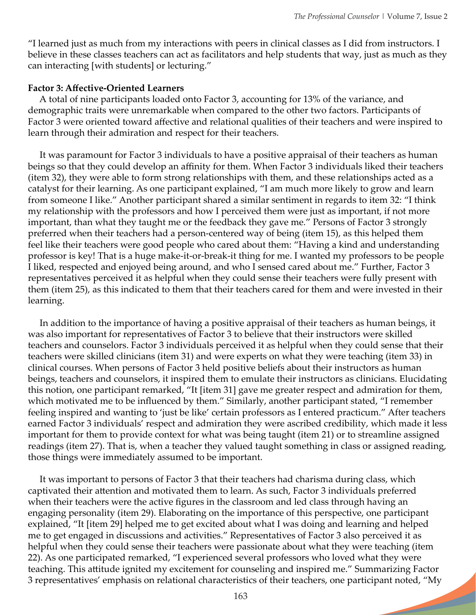"I learned just as much from my interactions with peers in clinical classes as I did from instructors. I believe in these classes teachers can act as facilitators and help students that way, just as much as they can interacting [with students] or lecturing."

#### **Factor 3: Affective-Oriented Learners**

 A total of nine participants loaded onto Factor 3, accounting for 13% of the variance, and demographic traits were unremarkable when compared to the other two factors. Participants of Factor 3 were oriented toward affective and relational qualities of their teachers and were inspired to learn through their admiration and respect for their teachers.

 It was paramount for Factor 3 individuals to have a positive appraisal of their teachers as human beings so that they could develop an affinity for them. When Factor 3 individuals liked their teachers (item 32), they were able to form strong relationships with them, and these relationships acted as a catalyst for their learning. As one participant explained, "I am much more likely to grow and learn from someone I like." Another participant shared a similar sentiment in regards to item 32: "I think my relationship with the professors and how I perceived them were just as important, if not more important, than what they taught me or the feedback they gave me*.*" Persons of Factor 3 strongly preferred when their teachers had a person-centered way of being (item 15), as this helped them feel like their teachers were good people who cared about them: "Having a kind and understanding professor is key! That is a huge make-it-or-break-it thing for me. I wanted my professors to be people I liked, respected and enjoyed being around, and who I sensed cared about me." Further, Factor 3 representatives perceived it as helpful when they could sense their teachers were fully present with them (item 25), as this indicated to them that their teachers cared for them and were invested in their learning.

 In addition to the importance of having a positive appraisal of their teachers as human beings, it was also important for representatives of Factor 3 to believe that their instructors were skilled teachers and counselors. Factor 3 individuals perceived it as helpful when they could sense that their teachers were skilled clinicians (item 31) and were experts on what they were teaching (item 33) in clinical courses. When persons of Factor 3 held positive beliefs about their instructors as human beings, teachers and counselors, it inspired them to emulate their instructors as clinicians. Elucidating this notion, one participant remarked, "It [item 31] gave me greater respect and admiration for them, which motivated me to be influenced by them." Similarly, another participant stated, "I remember feeling inspired and wanting to 'just be like' certain professors as I entered practicum." After teachers earned Factor 3 individuals' respect and admiration they were ascribed credibility, which made it less important for them to provide context for what was being taught (item 21) or to streamline assigned readings (item 27). That is, when a teacher they valued taught something in class or assigned reading, those things were immediately assumed to be important.

 It was important to persons of Factor 3 that their teachers had charisma during class, which captivated their attention and motivated them to learn. As such, Factor 3 individuals preferred when their teachers were the active figures in the classroom and led class through having an engaging personality (item 29). Elaborating on the importance of this perspective, one participant explained, "It [item 29] helped me to get excited about what I was doing and learning and helped me to get engaged in discussions and activities." Representatives of Factor 3 also perceived it as helpful when they could sense their teachers were passionate about what they were teaching (item 22). As one participated remarked, "I experienced several professors who loved what they were teaching. This attitude ignited my excitement for counseling and inspired me." Summarizing Factor 3 representatives' emphasis on relational characteristics of their teachers, one participant noted, "My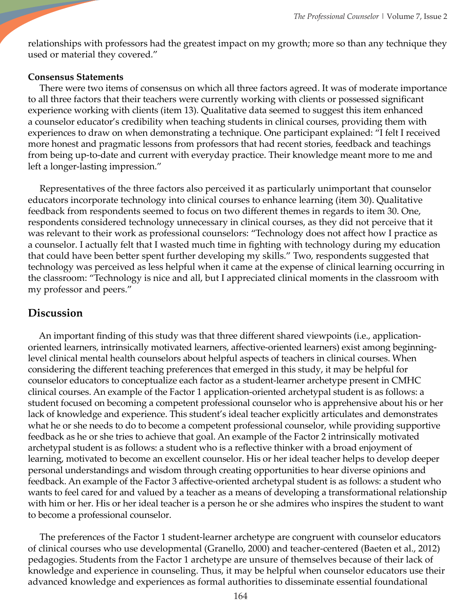relationships with professors had the greatest impact on my growth; more so than any technique they used or material they covered."

#### **Consensus Statements**

There were two items of consensus on which all three factors agreed. It was of moderate importance to all three factors that their teachers were currently working with clients or possessed significant experience working with clients (item 13). Qualitative data seemed to suggest this item enhanced a counselor educator's credibility when teaching students in clinical courses, providing them with experiences to draw on when demonstrating a technique. One participant explained: "I felt I received more honest and pragmatic lessons from professors that had recent stories, feedback and teachings from being up-to-date and current with everyday practice. Their knowledge meant more to me and left a longer-lasting impression."

 Representatives of the three factors also perceived it as particularly unimportant that counselor educators incorporate technology into clinical courses to enhance learning (item 30). Qualitative feedback from respondents seemed to focus on two different themes in regards to item 30. One, respondents considered technology unnecessary in clinical courses, as they did not perceive that it was relevant to their work as professional counselors: "Technology does not affect how I practice as a counselor. I actually felt that I wasted much time in fighting with technology during my education that could have been better spent further developing my skills." Two, respondents suggested that technology was perceived as less helpful when it came at the expense of clinical learning occurring in the classroom: "Technology is nice and all, but I appreciated clinical moments in the classroom with my professor and peers."

## **Discussion**

 An important finding of this study was that three different shared viewpoints (i.e., applicationoriented learners, intrinsically motivated learners, affective-oriented learners) exist among beginninglevel clinical mental health counselors about helpful aspects of teachers in clinical courses. When considering the different teaching preferences that emerged in this study, it may be helpful for counselor educators to conceptualize each factor as a student-learner archetype present in CMHC clinical courses. An example of the Factor 1 application-oriented archetypal student is as follows: a student focused on becoming a competent professional counselor who is apprehensive about his or her lack of knowledge and experience. This student's ideal teacher explicitly articulates and demonstrates what he or she needs to do to become a competent professional counselor, while providing supportive feedback as he or she tries to achieve that goal. An example of the Factor 2 intrinsically motivated archetypal student is as follows: a student who is a reflective thinker with a broad enjoyment of learning, motivated to become an excellent counselor. His or her ideal teacher helps to develop deeper personal understandings and wisdom through creating opportunities to hear diverse opinions and feedback. An example of the Factor 3 affective-oriented archetypal student is as follows: a student who wants to feel cared for and valued by a teacher as a means of developing a transformational relationship with him or her. His or her ideal teacher is a person he or she admires who inspires the student to want to become a professional counselor.

 The preferences of the Factor 1 student-learner archetype are congruent with counselor educators of clinical courses who use developmental (Granello, 2000) and teacher-centered (Baeten et al., 2012) pedagogies. Students from the Factor 1 archetype are unsure of themselves because of their lack of knowledge and experience in counseling. Thus, it may be helpful when counselor educators use their advanced knowledge and experiences as formal authorities to disseminate essential foundational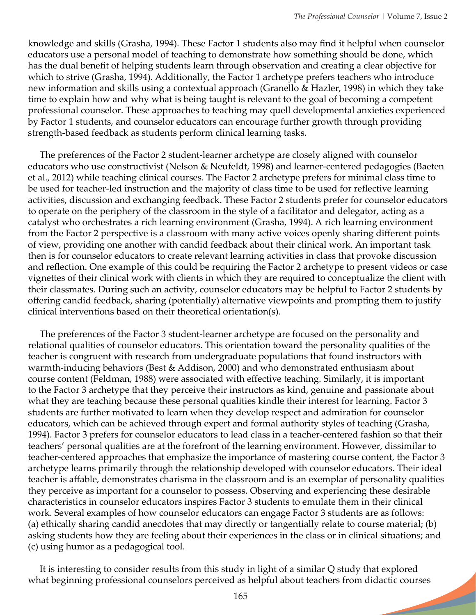knowledge and skills (Grasha, 1994). These Factor 1 students also may find it helpful when counselor educators use a personal model of teaching to demonstrate how something should be done, which has the dual benefit of helping students learn through observation and creating a clear objective for which to strive (Grasha, 1994). Additionally, the Factor 1 archetype prefers teachers who introduce new information and skills using a contextual approach (Granello & Hazler, 1998) in which they take time to explain how and why what is being taught is relevant to the goal of becoming a competent professional counselor. These approaches to teaching may quell developmental anxieties experienced by Factor 1 students, and counselor educators can encourage further growth through providing strength-based feedback as students perform clinical learning tasks.

 The preferences of the Factor 2 student-learner archetype are closely aligned with counselor educators who use constructivist (Nelson & Neufeldt, 1998) and learner-centered pedagogies (Baeten et al., 2012) while teaching clinical courses. The Factor 2 archetype prefers for minimal class time to be used for teacher-led instruction and the majority of class time to be used for reflective learning activities, discussion and exchanging feedback. These Factor 2 students prefer for counselor educators to operate on the periphery of the classroom in the style of a facilitator and delegator, acting as a catalyst who orchestrates a rich learning environment (Grasha, 1994). A rich learning environment from the Factor 2 perspective is a classroom with many active voices openly sharing different points of view, providing one another with candid feedback about their clinical work. An important task then is for counselor educators to create relevant learning activities in class that provoke discussion and reflection. One example of this could be requiring the Factor 2 archetype to present videos or case vignettes of their clinical work with clients in which they are required to conceptualize the client with their classmates. During such an activity, counselor educators may be helpful to Factor 2 students by offering candid feedback, sharing (potentially) alternative viewpoints and prompting them to justify clinical interventions based on their theoretical orientation(s).

 The preferences of the Factor 3 student-learner archetype are focused on the personality and relational qualities of counselor educators. This orientation toward the personality qualities of the teacher is congruent with research from undergraduate populations that found instructors with warmth-inducing behaviors (Best & Addison, 2000) and who demonstrated enthusiasm about course content (Feldman, 1988) were associated with effective teaching. Similarly, it is important to the Factor 3 archetype that they perceive their instructors as kind, genuine and passionate about what they are teaching because these personal qualities kindle their interest for learning. Factor 3 students are further motivated to learn when they develop respect and admiration for counselor educators, which can be achieved through expert and formal authority styles of teaching (Grasha, 1994). Factor 3 prefers for counselor educators to lead class in a teacher-centered fashion so that their teachers' personal qualities are at the forefront of the learning environment. However, dissimilar to teacher-centered approaches that emphasize the importance of mastering course content, the Factor 3 archetype learns primarily through the relationship developed with counselor educators. Their ideal teacher is affable, demonstrates charisma in the classroom and is an exemplar of personality qualities they perceive as important for a counselor to possess. Observing and experiencing these desirable characteristics in counselor educators inspires Factor 3 students to emulate them in their clinical work. Several examples of how counselor educators can engage Factor 3 students are as follows: (a) ethically sharing candid anecdotes that may directly or tangentially relate to course material; (b) asking students how they are feeling about their experiences in the class or in clinical situations; and (c) using humor as a pedagogical tool.

 It is interesting to consider results from this study in light of a similar Q study that explored what beginning professional counselors perceived as helpful about teachers from didactic courses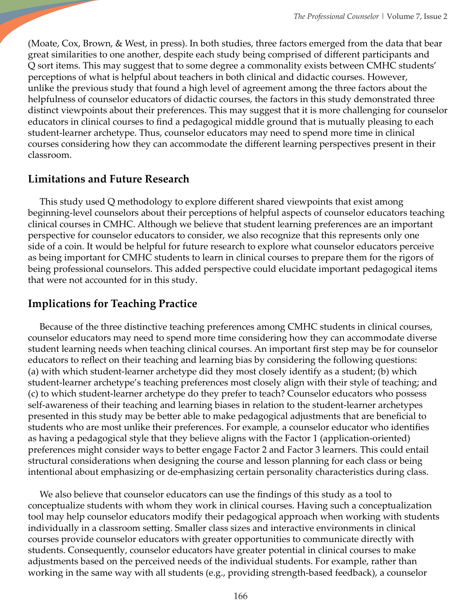(Moate, Cox, Brown, & West, in press). In both studies, three factors emerged from the data that bear great similarities to one another, despite each study being comprised of different participants and Q sort items. This may suggest that to some degree a commonality exists between CMHC students' perceptions of what is helpful about teachers in both clinical and didactic courses. However, unlike the previous study that found a high level of agreement among the three factors about the helpfulness of counselor educators of didactic courses, the factors in this study demonstrated three distinct viewpoints about their preferences. This may suggest that it is more challenging for counselor educators in clinical courses to find a pedagogical middle ground that is mutually pleasing to each student-learner archetype. Thus, counselor educators may need to spend more time in clinical courses considering how they can accommodate the different learning perspectives present in their classroom.

# **Limitations and Future Research**

 This study used Q methodology to explore different shared viewpoints that exist among beginning-level counselors about their perceptions of helpful aspects of counselor educators teaching clinical courses in CMHC. Although we believe that student learning preferences are an important perspective for counselor educators to consider, we also recognize that this represents only one side of a coin. It would be helpful for future research to explore what counselor educators perceive as being important for CMHC students to learn in clinical courses to prepare them for the rigors of being professional counselors. This added perspective could elucidate important pedagogical items that were not accounted for in this study.

# **Implications for Teaching Practice**

 Because of the three distinctive teaching preferences among CMHC students in clinical courses, counselor educators may need to spend more time considering how they can accommodate diverse student learning needs when teaching clinical courses. An important first step may be for counselor educators to reflect on their teaching and learning bias by considering the following questions: (a) with which student-learner archetype did they most closely identify as a student; (b) which student-learner archetype's teaching preferences most closely align with their style of teaching; and (c) to which student-learner archetype do they prefer to teach? Counselor educators who possess self-awareness of their teaching and learning biases in relation to the student-learner archetypes presented in this study may be better able to make pedagogical adjustments that are beneficial to students who are most unlike their preferences. For example, a counselor educator who identifies as having a pedagogical style that they believe aligns with the Factor 1 (application-oriented) preferences might consider ways to better engage Factor 2 and Factor 3 learners. This could entail structural considerations when designing the course and lesson planning for each class or being intentional about emphasizing or de-emphasizing certain personality characteristics during class.

 We also believe that counselor educators can use the findings of this study as a tool to conceptualize students with whom they work in clinical courses. Having such a conceptualization tool may help counselor educators modify their pedagogical approach when working with students individually in a classroom setting. Smaller class sizes and interactive environments in clinical courses provide counselor educators with greater opportunities to communicate directly with students. Consequently, counselor educators have greater potential in clinical courses to make adjustments based on the perceived needs of the individual students. For example, rather than working in the same way with all students (e.g., providing strength-based feedback), a counselor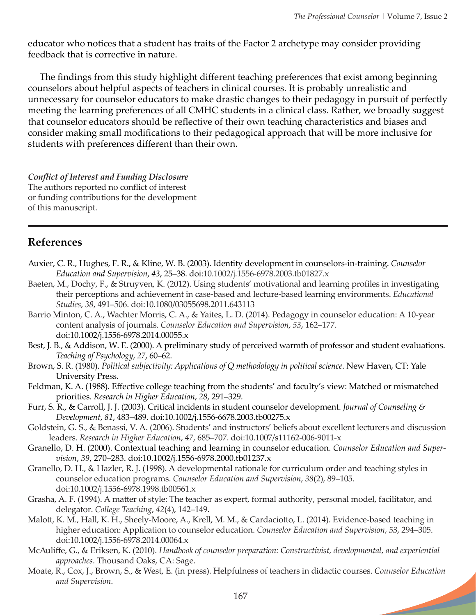**Service** 

educator who notices that a student has traits of the Factor 2 archetype may consider providing feedback that is corrective in nature.

The findings from this study highlight different teaching preferences that exist among beginning counselors about helpful aspects of teachers in clinical courses. It is probably unrealistic and unnecessary for counselor educators to make drastic changes to their pedagogy in pursuit of perfectly meeting the learning preferences of all CMHC students in a clinical class. Rather, we broadly suggest that counselor educators should be reflective of their own teaching characteristics and biases and consider making small modifications to their pedagogical approach that will be more inclusive for students with preferences different than their own.

*Conflict of Interest and Funding Disclosure*  The authors reported no conflict of interest or funding contributions for the development of this manuscript.

# **References**

- Auxier, C. R., Hughes, F. R., & Kline, W. B. (2003). Identity development in counselors-in-training. *Counselor Education and Supervision*, *43*, 25–38. doi:10.1002/j.1556-6978.2003.tb01827.x
- Baeten, M., Dochy, F., & Struyven, K. (2012). Using students' motivational and learning profiles in investigating their perceptions and achievement in case-based and lecture-based learning environments. *Educational Studies*, *38*, 491–506. doi:10.1080/03055698.2011.643113
- Barrio Minton, C. A., Wachter Morris, C. A., & Yaites, L. D. (2014). Pedagogy in counselor education: A 10‐year content analysis of journals. *Counselor Education and Supervision*, *53*, 162–177. doi:10.1002/j.1556-6978.2014.00055.x
- Best, J. B., & Addison, W. E. (2000). A preliminary study of perceived warmth of professor and student evaluations. *Teaching of Psychology*, *27*, 60–62.
- Brown, S. R. (1980). *Political subjectivity: Applications of Q methodology in political science*. New Haven, CT: Yale University Press.
- Feldman, K. A. (1988). Effective college teaching from the students' and faculty's view: Matched or mismatched priorities. *Research in Higher Education*, *28*, 291–329.
- Furr, S. R., & Carroll, J. J. (2003). Critical incidents in student counselor development. *Journal of Counseling & Development*, *81*, 483–489. doi:10.1002/j.1556-6678.2003.tb00275.x
- Goldstein, G. S., & Benassi, V. A. (2006). Students' and instructors' beliefs about excellent lecturers and discussion leaders. *Research in Higher Education*, *47*, 685–707. doi:10.1007/s11162-006-9011-x
- Granello, D. H. (2000). Contextual teaching and learning in counselor education. *Counselor Education and Supervision*, *39*, 270–283. doi:10.1002/j.1556-6978.2000.tb01237.x
- Granello, D. H., & Hazler, R. J. (1998). A developmental rationale for curriculum order and teaching styles in counselor education programs. *Counselor Education and Supervision*, *38*(2), 89–105. doi:10.1002/j.1556-6978.1998.tb00561.x
- Grasha, A. F. (1994). A matter of style: The teacher as expert, formal authority, personal model, facilitator, and delegator. *College Teaching*, *42*(4), 142–149.
- Malott, K. M., Hall, K. H., Sheely‐Moore, A., Krell, M. M., & Cardaciotto, L. (2014). Evidence‐based teaching in higher education: Application to counselor education. *Counselor Education and Supervision*, *53*, 294–305. doi:10.1002/j.1556-6978.2014.00064.x
- McAuliffe, G., & Eriksen, K. (2010). *Handbook of counselor preparation: Constructivist, developmental, and experiential approaches*. Thousand Oaks, CA: Sage.
- Moate, R., Cox, J., Brown, S., & West, E. (in press). Helpfulness of teachers in didactic courses. *Counselor Education and Supervision*.